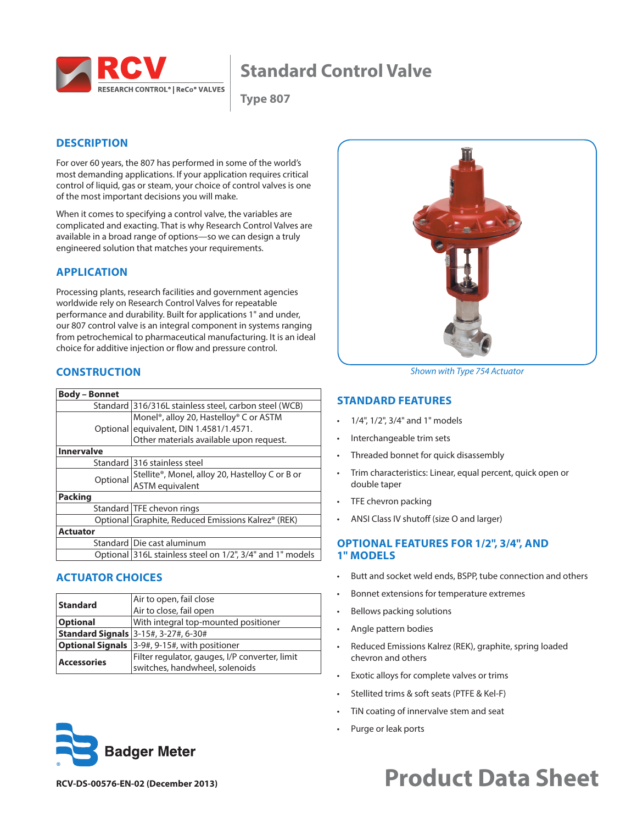

## **Standard Control Valve**

**Type 807**

## **DESCRIPTION**

For over 60 years, the 807 has performed in some of the world's most demanding applications. If your application requires critical control of liquid, gas or steam, your choice of control valves is one of the most important decisions you will make.

When it comes to specifying a control valve, the variables are complicated and exacting. That is why Research Control Valves are available in a broad range of options—so we can design a truly engineered solution that matches your requirements.

## **APPLICATION**

Processing plants, research facilities and government agencies worldwide rely on Research Control Valves for repeatable performance and durability. Built for applications 1" and under, our 807 control valve is an integral component in systems ranging from petrochemical to pharmaceutical manufacturing. It is an ideal choice for additive injection or flow and pressure control.

## **CONSTRUCTION**

| <b>Body – Bonnet</b> |                                                                 |
|----------------------|-----------------------------------------------------------------|
|                      | Standard 316/316L stainless steel, carbon steel (WCB)           |
|                      | Monel <sup>®</sup> , alloy 20, Hastelloy <sup>®</sup> C or ASTM |
|                      | Optional equivalent, DIN 1.4581/1.4571.                         |
|                      | Other materials available upon request.                         |
| <b>Innervalve</b>    |                                                                 |
|                      | Standard 316 stainless steel                                    |
|                      | Stellite®, Monel, alloy 20, Hastelloy C or B or                 |
| Optional             | <b>ASTM</b> equivalent                                          |
| <b>Packing</b>       |                                                                 |
|                      | Standard   TFE chevon rings                                     |
|                      | Optional Graphite, Reduced Emissions Kalrez® (REK)              |
| <b>Actuator</b>      |                                                                 |
|                      | Standard Die cast aluminum                                      |
|                      | Optional 316L stainless steel on 1/2", 3/4" and 1" models       |

## **ACTUATOR CHOICES**

| <b>Standard</b>    | Air to open, fail close                              |  |  |
|--------------------|------------------------------------------------------|--|--|
|                    | Air to close, fail open                              |  |  |
| <b>Optional</b>    | With integral top-mounted positioner                 |  |  |
|                    | <b>Standard Signals</b> 3-15#, 3-27#, 6-30#          |  |  |
|                    | <b>Optional Signals</b> 3-9#, 9-15#, with positioner |  |  |
| <b>Accessories</b> | Filter regulator, gauges, I/P converter, limit       |  |  |
|                    | switches, handwheel, solenoids                       |  |  |





*Shown with Type 754 Actuator*

#### **STANDARD FEATURES**

- 1/4", 1/2", 3/4" and 1" models
- Interchangeable trim sets
- Threaded bonnet for quick disassembly
- Trim characteristics: Linear, equal percent, quick open or double taper
- TFE chevron packing
- ANSI Class IV shutoff (size O and larger)

#### **OPTIONAL FEATURES FOR 1/2", 3/4", AND 1" MODELS**

- Butt and socket weld ends, BSPP, tube connection and others
- Bonnet extensions for temperature extremes
- Bellows packing solutions
- Angle pattern bodies
- Reduced Emissions Kalrez (REK), graphite, spring loaded chevron and others
- Exotic alloys for complete valves or trims
- Stellited trims & soft seats (PTFE & Kel-F)
- TiN coating of innervalve stem and seat
- Purge or leak ports

# **RCV-DS-00576-EN-02 (December 2013) Product Data Sheet**